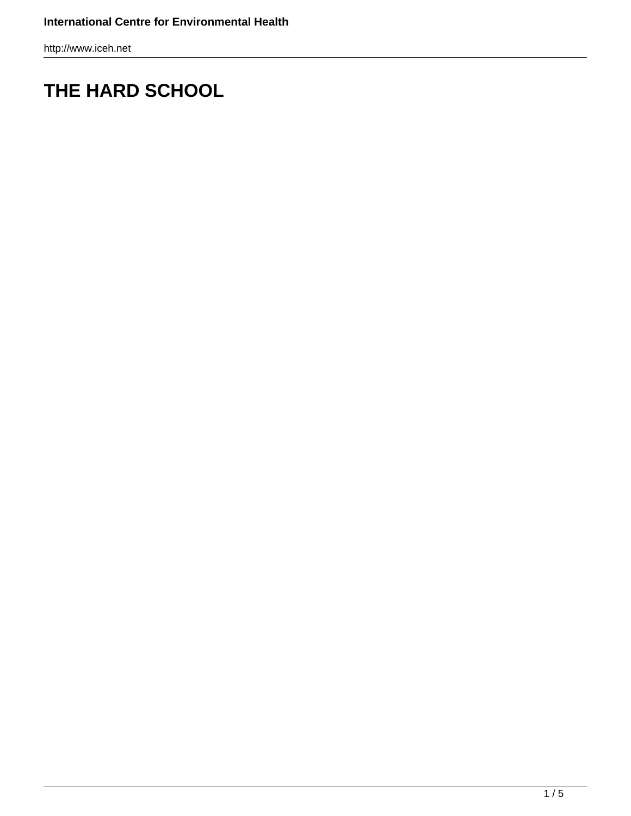## **THE HARD SCHOOL**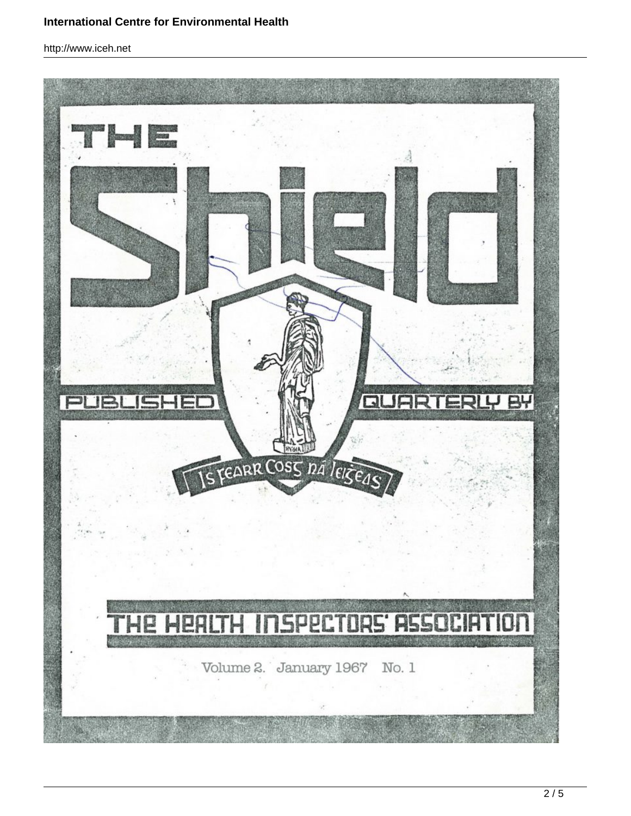## **International Centre for Environmental Health**

http://www.iceh.net

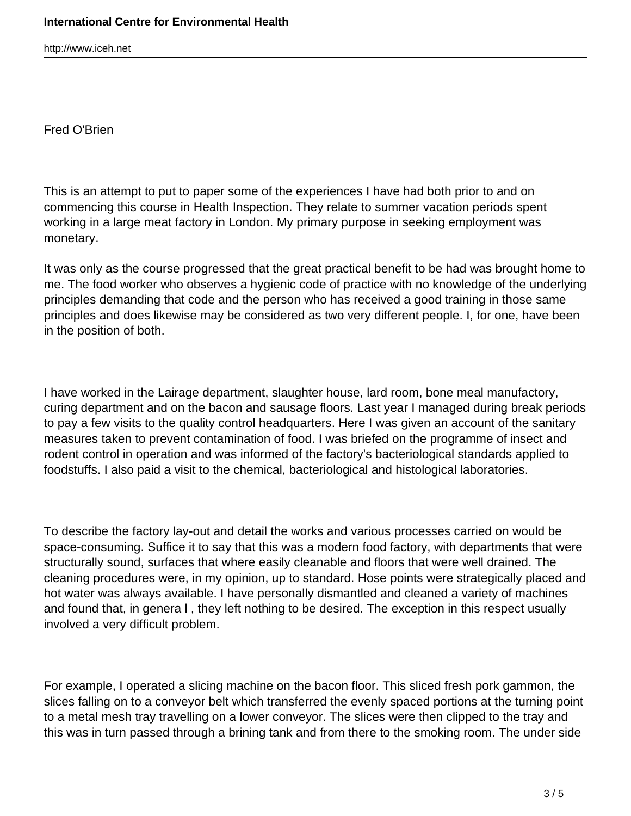Fred O'Brien

This is an attempt to put to paper some of the experiences I have had both prior to and on commencing this course in Health Inspection. They relate to summer vacation periods spent working in a large meat factory in London. My primary purpose in seeking employment was monetary.

It was only as the course progressed that the great practical benefit to be had was brought home to me. The food worker who observes a hygienic code of practice with no knowledge of the underlying principles demanding that code and the person who has received a good training in those same principles and does likewise may be considered as two very different people. I, for one, have been in the position of both.

I have worked in the Lairage department, slaughter house, lard room, bone meal manufactory, curing department and on the bacon and sausage floors. Last year I managed during break periods to pay a few visits to the quality control headquarters. Here I was given an account of the sanitary measures taken to prevent contamination of food. I was briefed on the programme of insect and rodent control in operation and was informed of the factory's bacteriological standards applied to foodstuffs. I also paid a visit to the chemical, bacteriological and histological laboratories.

To describe the factory lay-out and detail the works and various processes carried on would be space-consuming. Suffice it to say that this was a modern food factory, with departments that were structurally sound, surfaces that where easily cleanable and floors that were well drained. The cleaning procedures were, in my opinion, up to standard. Hose points were strategically placed and hot water was always available. I have personally dismantled and cleaned a variety of machines and found that, in genera l , they left nothing to be desired. The exception in this respect usually involved a very difficult problem.

For example, I operated a slicing machine on the bacon floor. This sliced fresh pork gammon, the slices falling on to a conveyor belt which transferred the evenly spaced portions at the turning point to a metal mesh tray travelling on a lower conveyor. The slices were then clipped to the tray and this was in turn passed through a brining tank and from there to the smoking room. The under side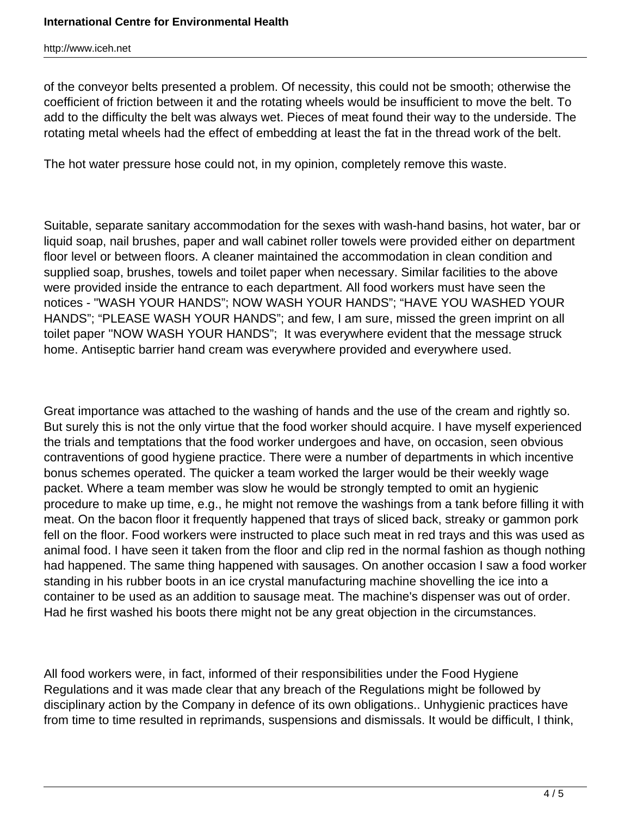of the conveyor belts presented a problem. Of necessity, this could not be smooth; otherwise the coefficient of friction between it and the rotating wheels would be insufficient to move the belt. To add to the difficulty the belt was always wet. Pieces of meat found their way to the underside. The rotating metal wheels had the effect of embedding at least the fat in the thread work of the belt.

The hot water pressure hose could not, in my opinion, completely remove this waste.

Suitable, separate sanitary accommodation for the sexes with wash-hand basins, hot water, bar or liquid soap, nail brushes, paper and wall cabinet roller towels were provided either on department floor level or between floors. A cleaner maintained the accommodation in clean condition and supplied soap, brushes, towels and toilet paper when necessary. Similar facilities to the above were provided inside the entrance to each department. All food workers must have seen the notices - "WASH YOUR HANDS"; NOW WASH YOUR HANDS"; "HAVE YOU WASHED YOUR HANDS"; "PLEASE WASH YOUR HANDS"; and few, I am sure, missed the green imprint on all toilet paper ''NOW WASH YOUR HANDS"; It was everywhere evident that the message struck home. Antiseptic barrier hand cream was everywhere provided and everywhere used.

Great importance was attached to the washing of hands and the use of the cream and rightly so. But surely this is not the only virtue that the food worker should acquire. I have myself experienced the trials and temptations that the food worker undergoes and have, on occasion, seen obvious contraventions of good hygiene practice. There were a number of departments in which incentive bonus schemes operated. The quicker a team worked the larger would be their weekly wage packet. Where a team member was slow he would be strongly tempted to omit an hygienic procedure to make up time, e.g., he might not remove the washings from a tank before filling it with meat. On the bacon floor it frequently happened that trays of sliced back, streaky or gammon pork fell on the floor. Food workers were instructed to place such meat in red trays and this was used as animal food. I have seen it taken from the floor and clip red in the normal fashion as though nothing had happened. The same thing happened with sausages. On another occasion I saw a food worker standing in his rubber boots in an ice crystal manufacturing machine shovelling the ice into a container to be used as an addition to sausage meat. The machine's dispenser was out of order. Had he first washed his boots there might not be any great objection in the circumstances.

All food workers were, in fact, informed of their responsibilities under the Food Hygiene Regulations and it was made clear that any breach of the Regulations might be followed by disciplinary action by the Company in defence of its own obligations.. Unhygienic practices have from time to time resulted in reprimands, suspensions and dismissals. It would be difficult, I think,